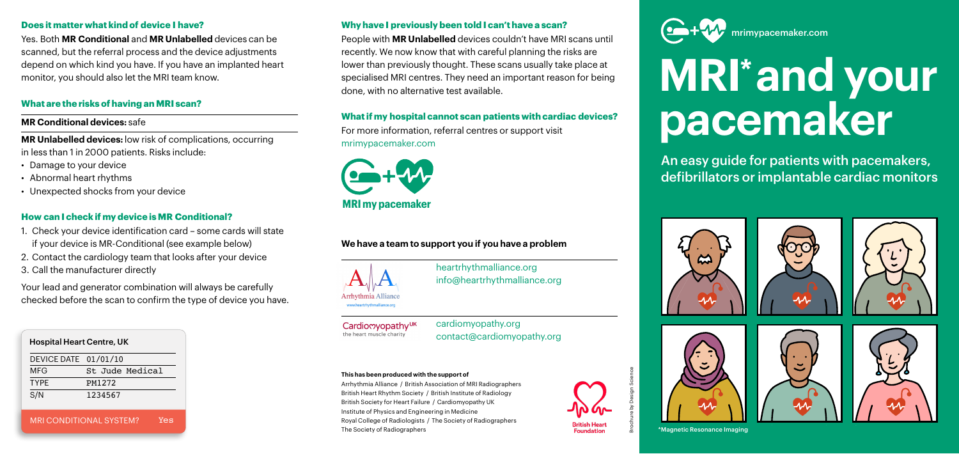# **MRI\* and your pacemaker**

An easy guide for patients with pacemakers, defibrillators or implantable cardiac monitors



# **Does it matter what kind of device I have?**

Yes. Both **MR Conditional** and **MR Unlabelled** devices can be scanned, but the referral process and the device adjustments depend on which kind you have. If you have an implanted heart monitor, you should also let the MRI team know.

# **What are the risks of having an MRI scan?**

# **MR Conditional devices:** safe

**MR Unlabelled devices:** low risk of complications, occurring in less than 1 in 2000 patients. Risks include:

- Damage to your device
- Abnormal heart rhythms
- Unexpected shocks from your device

# **How can I check if my device is MR Conditional?**

- 1. Check your device identification card some cards will state if your device is MR-Conditional (see example below)
- 2. Contact the cardiology team that looks after your device
- 3. Call the manufacturer directly

Your lead and generator combination will always be carefully checked before the scan to confirm the type of device you have.

# Hospital Heart Centre, UK

MRI CONDITIONAL SYSTEM? Yes

|  | DEVICE DATE 01/01/10 |                 |
|--|----------------------|-----------------|
|  | MFG                  | St Jude Medical |
|  | <b>TYPF</b>          | PM1272          |
|  | S/N                  | 1234567         |
|  |                      |                 |

# **Why have I previously been told I can't have a scan?**

People with **MR Unlabelled** devices couldn't have MRI scans until recently. We now know that with careful planning the risks are lower than previously thought. These scans usually take place at specialised MRI centres. They need an important reason for being done, with no alternative test available.

## **What if my hospital cannot scan patients with cardiac devices?**

For more information, referral centres or support visit [mrimypacemaker.com](https://mrimypacemaker.com/)

# **We have a team to support you if you have a problem**





[heartrhythmalliance.org](https://heartrhythmalliance.org/aa/uk) info@heartrhythmalliance.org



Cardiomyopathy<sup>UK</sup> the heart muscle charity

[cardiomyopathy.org](https://www.cardiomyopathy.org/) contact@cardiomyopathy.org



## **This has been produced with the support of**

Arrhythmia Alliance / British Association of MRI Radiographers British Heart Rhythm Society / British Institute of Radiology British Society for Heart Failure / Cardiomyopathy UK Institute of Physics and Engineering in Medicine Royal College of Radiologists / The Society of Radiographers The Society of Radiographers



\*Magnetic Resonance Imaging